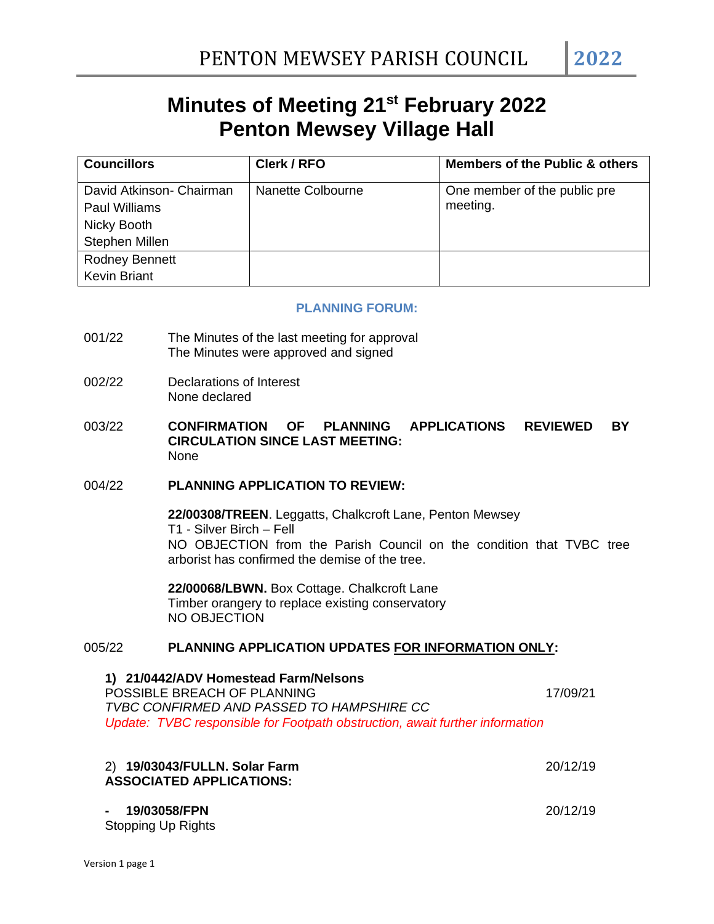# **Minutes of Meeting 21st February 2022 Penton Mewsey Village Hall**

| <b>Councillors</b>                                              | Clerk / RFO       | <b>Members of the Public &amp; others</b> |
|-----------------------------------------------------------------|-------------------|-------------------------------------------|
| David Atkinson- Chairman<br><b>Paul Williams</b><br>Nicky Booth | Nanette Colbourne | One member of the public pre<br>meeting.  |
| Stephen Millen                                                  |                   |                                           |
| Rodney Bennett<br><b>Kevin Briant</b>                           |                   |                                           |

#### **PLANNING FORUM:**

- 001/22 The Minutes of the last meeting for approval The Minutes were approved and signed
- 002/22 Declarations of Interest None declared
- 003/22 **CONFIRMATION OF PLANNING APPLICATIONS REVIEWED BY CIRCULATION SINCE LAST MEETING:** None

### 004/22 **PLANNING APPLICATION TO REVIEW:**

**22/00308/TREEN**. Leggatts, Chalkcroft Lane, Penton Mewsey T1 - Silver Birch – Fell NO OBJECTION from the Parish Council on the condition that TVBC tree arborist has confirmed the demise of the tree.

**22/00068/LBWN.** Box Cottage. Chalkcroft Lane Timber orangery to replace existing conservatory NO OBJECTION

# 005/22 **PLANNING APPLICATION UPDATES FOR INFORMATION ONLY:**

**1) 21/0442/ADV Homestead Farm/Nelsons** POSSIBLE BREACH OF PLANNING 17/09/21 *TVBC CONFIRMED AND PASSED TO HAMPSHIRE CC Update: TVBC responsible for Footpath obstruction, await further information*

| 2) 19/03043/FULLN. Solar Farm<br><b>ASSOCIATED APPLICATIONS:</b> | 20/12/19 |
|------------------------------------------------------------------|----------|
| $-19/03058$ /FPN<br>Stopping Up Rights                           | 20/12/19 |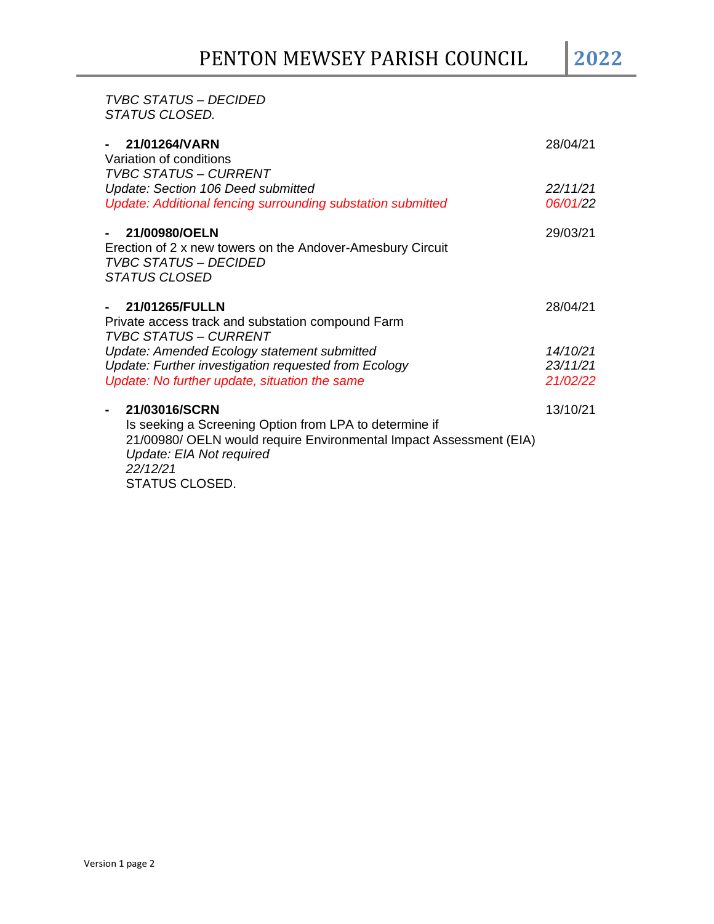# *TVBC STATUS – DECIDED STATUS CLOSED.*

| 21/01264/VARN<br>$\sim$ 100 $\pm$<br>Variation of conditions<br><b>TVBC STATUS - CURRENT</b>                                                          | 28/04/21 |
|-------------------------------------------------------------------------------------------------------------------------------------------------------|----------|
| Update: Section 106 Deed submitted                                                                                                                    | 22/11/21 |
| Update: Additional fencing surrounding substation submitted                                                                                           | 06/01/22 |
| 21/00980/OELN<br>$\blacksquare$<br>Erection of 2 x new towers on the Andover-Amesbury Circuit<br><b>TVBC STATUS - DECIDED</b><br><b>STATUS CLOSED</b> | 29/03/21 |
| 21/01265/FULLN<br>$\sim$                                                                                                                              | 28/04/21 |
| Private access track and substation compound Farm<br><b>TVBC STATUS - CURRENT</b>                                                                     |          |
| Update: Amended Ecology statement submitted                                                                                                           | 14/10/21 |
| Update: Further investigation requested from Ecology                                                                                                  | 23/11/21 |
| Update: No further update, situation the same                                                                                                         | 21/02/22 |
| 21/03016/SCRN<br>-                                                                                                                                    | 13/10/21 |
| Is seeking a Screening Option from LPA to determine if                                                                                                |          |
| 21/00980/ OELN would require Environmental Impact Assessment (EIA)                                                                                    |          |
| Update: EIA Not required                                                                                                                              |          |
| 22/12/21                                                                                                                                              |          |
| STATUS CLOSED.                                                                                                                                        |          |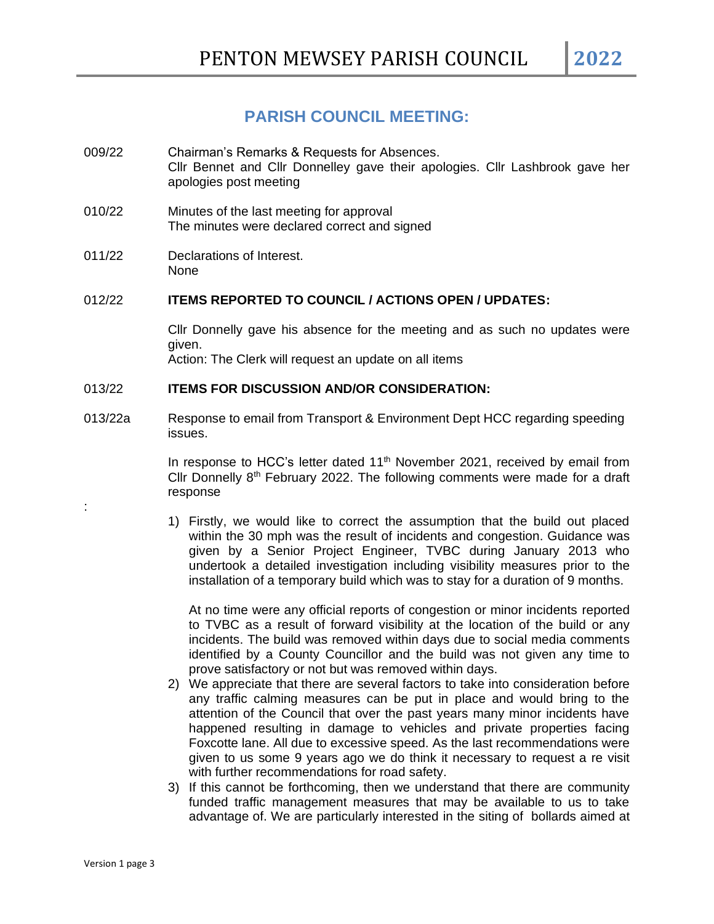# **PARISH COUNCIL MEETING:**

- 009/22 Chairman's Remarks & Requests for Absences. Cllr Bennet and Cllr Donnelley gave their apologies. Cllr Lashbrook gave her apologies post meeting
- 010/22 Minutes of the last meeting for approval The minutes were declared correct and signed
- 011/22 Declarations of Interest. None

# 012/22 **ITEMS REPORTED TO COUNCIL / ACTIONS OPEN / UPDATES:**

Cllr Donnelly gave his absence for the meeting and as such no updates were given.

Action: The Clerk will request an update on all items

### 013/22 **ITEMS FOR DISCUSSION AND/OR CONSIDERATION:**

013/22a Response to email from Transport & Environment Dept HCC regarding speeding issues.

> In response to HCC's letter dated  $11<sup>th</sup>$  November 2021, received by email from Cllr Donnelly  $8<sup>th</sup>$  February 2022. The following comments were made for a draft response

> 1) Firstly, we would like to correct the assumption that the build out placed within the 30 mph was the result of incidents and congestion. Guidance was given by a Senior Project Engineer, TVBC during January 2013 who undertook a detailed investigation including visibility measures prior to the installation of a temporary build which was to stay for a duration of 9 months.

At no time were any official reports of congestion or minor incidents reported to TVBC as a result of forward visibility at the location of the build or any incidents. The build was removed within days due to social media comments identified by a County Councillor and the build was not given any time to prove satisfactory or not but was removed within days.

- 2) We appreciate that there are several factors to take into consideration before any traffic calming measures can be put in place and would bring to the attention of the Council that over the past years many minor incidents have happened resulting in damage to vehicles and private properties facing Foxcotte lane. All due to excessive speed. As the last recommendations were given to us some 9 years ago we do think it necessary to request a re visit with further recommendations for road safety.
- 3) If this cannot be forthcoming, then we understand that there are community funded traffic management measures that may be available to us to take advantage of. We are particularly interested in the siting of bollards aimed at

: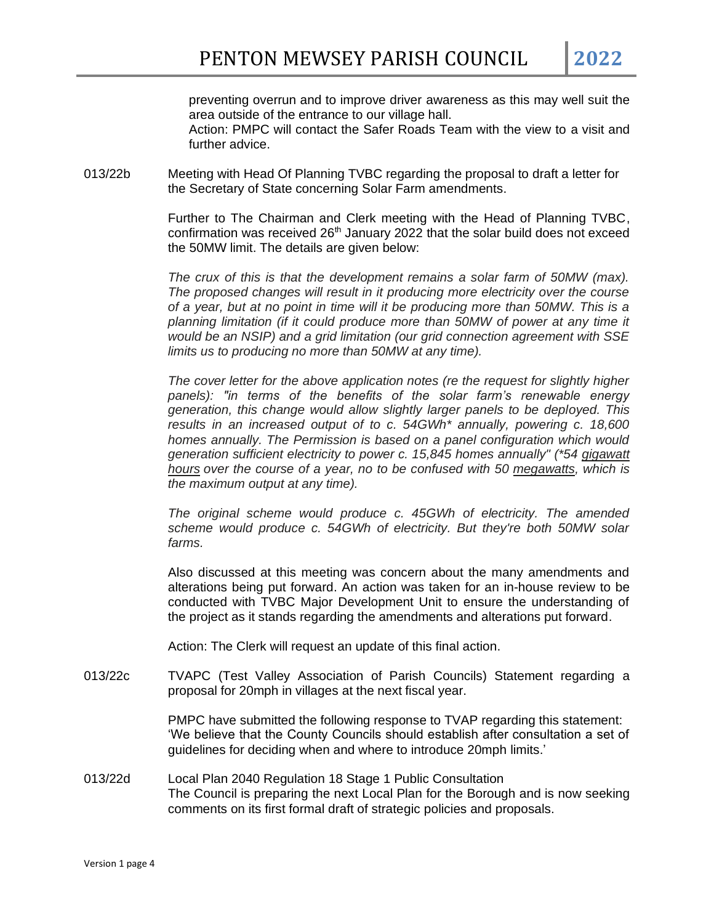preventing overrun and to improve driver awareness as this may well suit the area outside of the entrance to our village hall. Action: PMPC will contact the Safer Roads Team with the view to a visit and further advice.

013/22b Meeting with Head Of Planning TVBC regarding the proposal to draft a letter for the Secretary of State concerning Solar Farm amendments.

> Further to The Chairman and Clerk meeting with the Head of Planning TVBC, confirmation was received  $26<sup>th</sup>$  January 2022 that the solar build does not exceed the 50MW limit. The details are given below:

> *The crux of this is that the development remains a solar farm of 50MW (max). The proposed changes will result in it producing more electricity over the course of a year, but at no point in time will it be producing more than 50MW. This is a planning limitation (if it could produce more than 50MW of power at any time it would be an NSIP) and a grid limitation (our grid connection agreement with SSE limits us to producing no more than 50MW at any time).*

> *The cover letter for the above application notes (re the request for slightly higher panels): "in terms of the benefits of the solar farm's renewable energy generation, this change would allow slightly larger panels to be deployed. This results in an increased output of to c. 54GWh\* annually, powering c. 18,600 homes annually. The Permission is based on a panel configuration which would generation sufficient electricity to power c. 15,845 homes annually" (\*54 gigawatt hours over the course of a year, no to be confused with 50 megawatts, which is the maximum output at any time).*

> *The original scheme would produce c. 45GWh of electricity. The amended*  scheme would produce c. 54GWh of electricity. But they're both 50MW solar *farms.*

> Also discussed at this meeting was concern about the many amendments and alterations being put forward. An action was taken for an in-house review to be conducted with TVBC Major Development Unit to ensure the understanding of the project as it stands regarding the amendments and alterations put forward.

Action: The Clerk will request an update of this final action.

013/22c TVAPC (Test Valley Association of Parish Councils) Statement regarding a proposal for 20mph in villages at the next fiscal year.

> PMPC have submitted the following response to TVAP regarding this statement: 'We believe that the County Councils should establish after consultation a set of guidelines for deciding when and where to introduce 20mph limits.'

013/22d Local Plan 2040 Regulation 18 Stage 1 Public Consultation The Council is preparing the next Local Plan for the Borough and is now seeking comments on its first formal draft of strategic policies and proposals.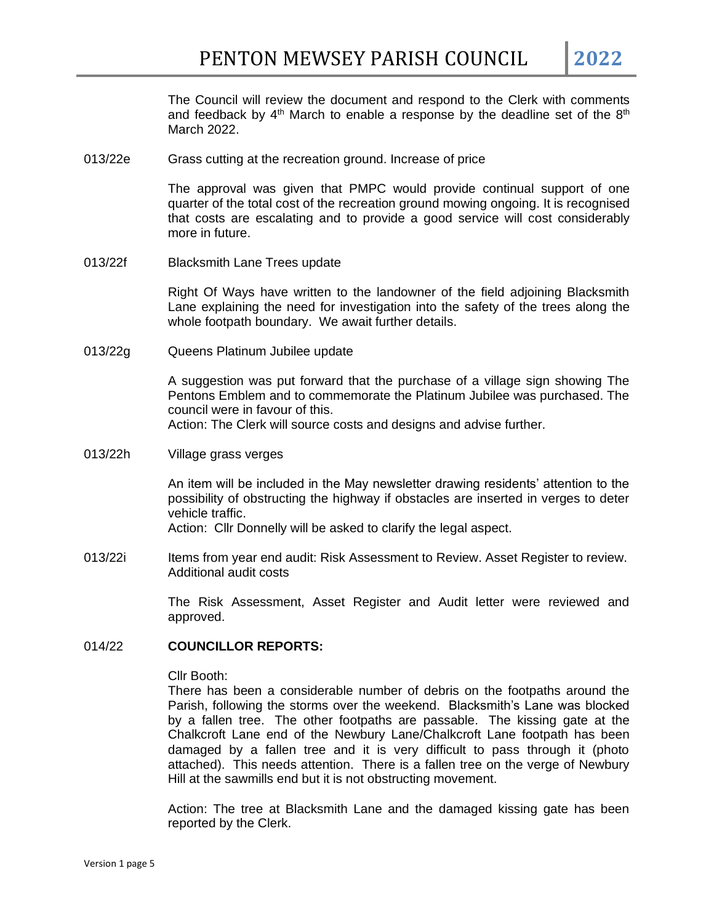The Council will review the document and respond to the Clerk with comments and feedback by  $4<sup>th</sup>$  March to enable a response by the deadline set of the  $8<sup>th</sup>$ March 2022.

013/22e Grass cutting at the recreation ground. Increase of price

The approval was given that PMPC would provide continual support of one quarter of the total cost of the recreation ground mowing ongoing. It is recognised that costs are escalating and to provide a good service will cost considerably more in future.

013/22f Blacksmith Lane Trees update

Right Of Ways have written to the landowner of the field adjoining Blacksmith Lane explaining the need for investigation into the safety of the trees along the whole footpath boundary. We await further details.

013/22g Queens Platinum Jubilee update

A suggestion was put forward that the purchase of a village sign showing The Pentons Emblem and to commemorate the Platinum Jubilee was purchased. The council were in favour of this.

Action: The Clerk will source costs and designs and advise further.

013/22h Village grass verges

An item will be included in the May newsletter drawing residents' attention to the possibility of obstructing the highway if obstacles are inserted in verges to deter vehicle traffic.

Action: Cllr Donnelly will be asked to clarify the legal aspect.

013/22i Items from year end audit: Risk Assessment to Review. Asset Register to review. Additional audit costs

> The Risk Assessment, Asset Register and Audit letter were reviewed and approved.

#### 014/22 **COUNCILLOR REPORTS:**

#### Cllr Booth:

There has been a considerable number of debris on the footpaths around the Parish, following the storms over the weekend. Blacksmith's Lane was blocked by a fallen tree. The other footpaths are passable. The kissing gate at the Chalkcroft Lane end of the Newbury Lane/Chalkcroft Lane footpath has been damaged by a fallen tree and it is very difficult to pass through it (photo attached). This needs attention. There is a fallen tree on the verge of Newbury Hill at the sawmills end but it is not obstructing movement.

Action: The tree at Blacksmith Lane and the damaged kissing gate has been reported by the Clerk.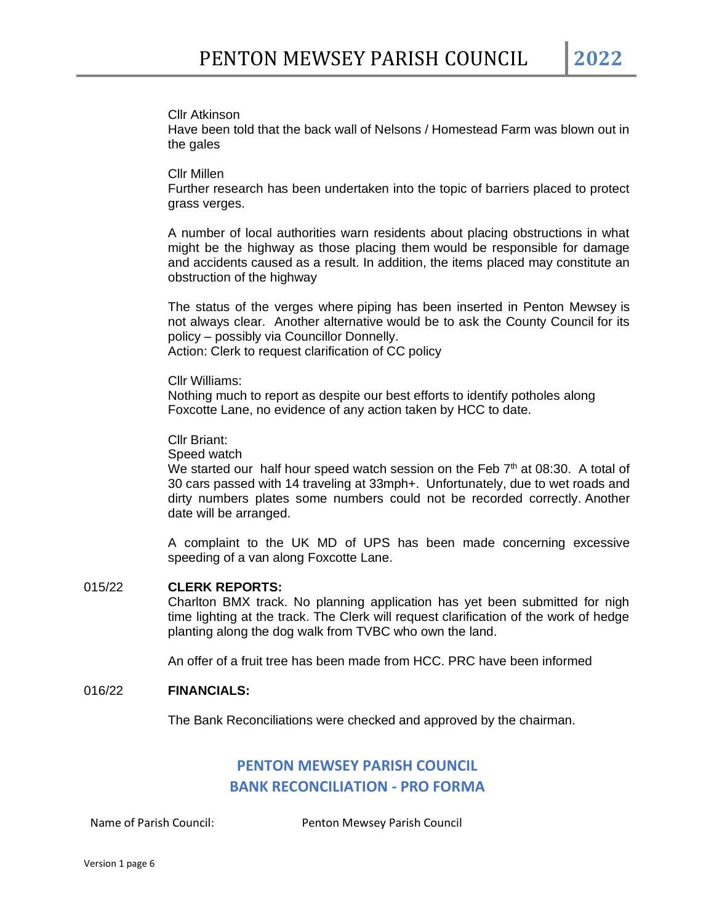#### Cllr Atkinson

Have been told that the back wall of Nelsons / Homestead Farm was blown out in the gales

#### Cllr Millen

Further research has been undertaken into the topic of barriers placed to protect grass verges.

A number of local authorities warn residents about placing obstructions in what might be the highway as those placing them would be responsible for damage and accidents caused as a result. In addition, the items placed may constitute an obstruction of the highway

The status of the verges where piping has been inserted in Penton Mewsey is not always clear. Another alternative would be to ask the County Council for its policy – possibly via Councillor Donnelly. Action: Clerk to request clarification of CC policy

Cllr Williams:

Nothing much to report as despite our best efforts to identify potholes along Foxcotte Lane, no evidence of any action taken by HCC to date.

Cllr Briant:

Speed watch

We started our half hour speed watch session on the Feb  $7<sup>th</sup>$  at 08:30. A total of 30 cars passed with 14 traveling at 33mph+. Unfortunately, due to wet roads and dirty numbers plates some numbers could not be recorded correctly. Another date will be arranged.

A complaint to the UK MD of UPS has been made concerning excessive speeding of a van along Foxcotte Lane.

#### 015/22 **CLERK REPORTS:**

Charlton BMX track. No planning application has yet been submitted for nigh time lighting at the track. The Clerk will request clarification of the work of hedge planting along the dog walk from TVBC who own the land.

An offer of a fruit tree has been made from HCC. PRC have been informed

#### 016/22 **FINANCIALS:**

The Bank Reconciliations were checked and approved by the chairman.

# **PENTON MEWSEY PARISH COUNCIL BANK RECONCILIATION - PRO FORMA**

Name of Parish Council: Penton Mewsey Parish Council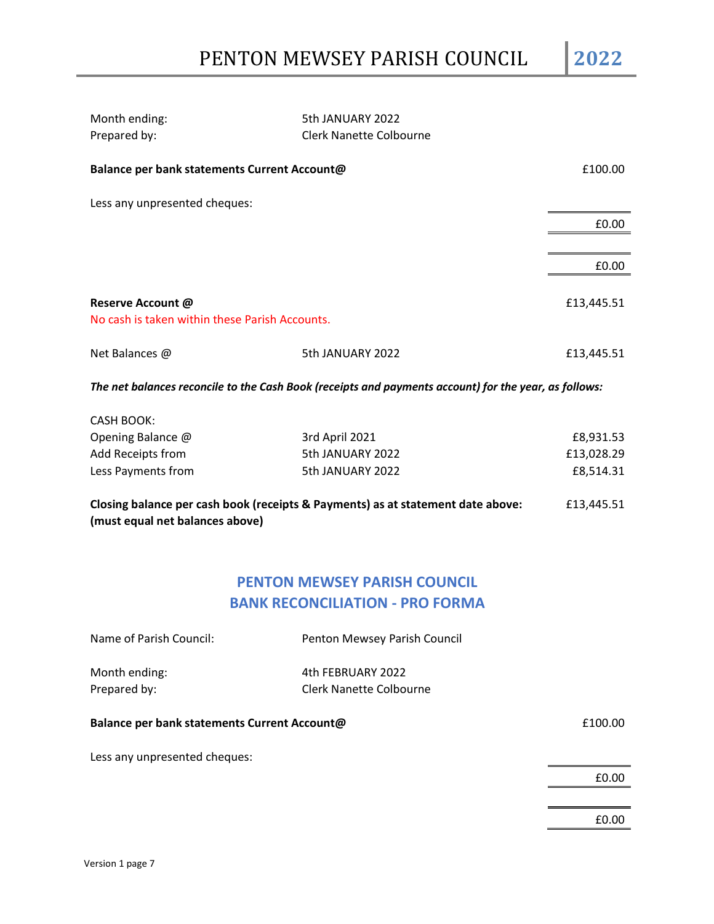| Month ending:<br>Prepared by:                                                                                                    | 5th JANUARY 2022<br><b>Clerk Nanette Colbourne</b> |            |  |
|----------------------------------------------------------------------------------------------------------------------------------|----------------------------------------------------|------------|--|
| Balance per bank statements Current Account@                                                                                     |                                                    | £100.00    |  |
| Less any unpresented cheques:                                                                                                    |                                                    |            |  |
|                                                                                                                                  |                                                    | £0.00      |  |
|                                                                                                                                  |                                                    |            |  |
|                                                                                                                                  |                                                    | £0.00      |  |
| Reserve Account @                                                                                                                |                                                    | £13,445.51 |  |
| No cash is taken within these Parish Accounts.                                                                                   |                                                    |            |  |
| Net Balances @                                                                                                                   | 5th JANUARY 2022                                   | £13,445.51 |  |
| The net balances reconcile to the Cash Book (receipts and payments account) for the year, as follows:                            |                                                    |            |  |
| <b>CASH BOOK:</b>                                                                                                                |                                                    |            |  |
| Opening Balance @                                                                                                                | 3rd April 2021                                     | £8,931.53  |  |
| Add Receipts from                                                                                                                | 5th JANUARY 2022                                   | £13,028.29 |  |
| Less Payments from                                                                                                               | 5th JANUARY 2022                                   | £8,514.31  |  |
| Closing balance per cash book (receipts & Payments) as at statement date above:<br>£13,445.51<br>(must equal net balances above) |                                                    |            |  |
|                                                                                                                                  |                                                    |            |  |
|                                                                                                                                  | <b>PENTON MEWSEY PARISH COUNCIL</b>                |            |  |
| <b>BANK RECONCILIATION - PRO FORMA</b>                                                                                           |                                                    |            |  |
| Name of Parish Council:                                                                                                          | Penton Mewsey Parish Council                       |            |  |

Month ending: The Month ending: The Month ending: The Month of Apple 2022 Prepared by: Clerk Nanette Colbourne

# **Balance per bank statements Current Account@** *E100.00*

Less any unpresented cheques:

£0.00

£0.00